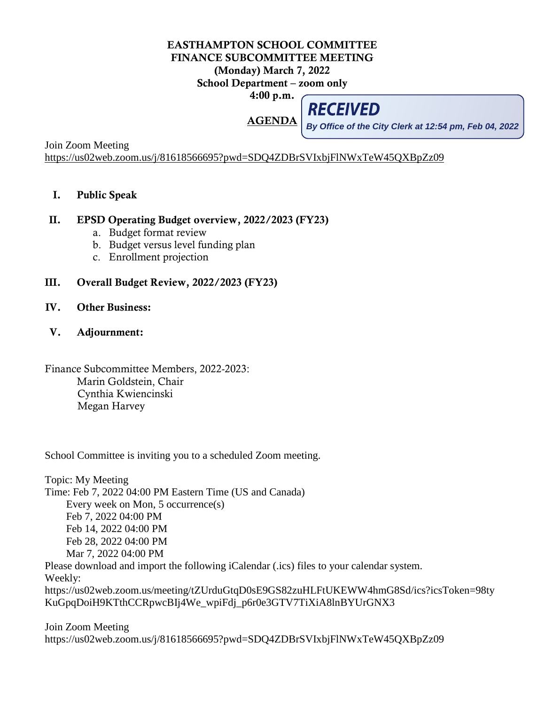## EASTHAMPTON SCHOOL COMMITTEE FINANCE SUBCOMMITTEE MEETING (Monday) March 7, 2022 School Department – zoom only 4:00 p.m.

AGENDA

**RECEIVED** 

Join Zoom Meeting **By Office of the City Clerk at 12:54 pm, Feb 04, 2022**

<https://us02web.zoom.us/j/81618566695?pwd=SDQ4ZDBrSVIxbjFlNWxTeW45QXBpZz09>

I. Public Speak

## II. EPSD Operating Budget overview, 2022/2023 (FY23)

- a. Budget format review
- b. Budget versus level funding plan
- c. Enrollment projection
- III. Overall Budget Review, 2022/2023 (FY23)
- IV. Other Business:
- V. Adjournment:

Finance Subcommittee Members, 2022-2023: Marin Goldstein, Chair Cynthia Kwiencinski Megan Harvey

School Committee is inviting you to a scheduled Zoom meeting.

Topic: My Meeting Time: Feb 7, 2022 04:00 PM Eastern Time (US and Canada) Every week on Mon, 5 occurrence(s) Feb 7, 2022 04:00 PM Feb 14, 2022 04:00 PM Feb 28, 2022 04:00 PM Mar 7, 2022 04:00 PM Please download and import the following iCalendar (.ics) files to your calendar system. Weekly: https://us02web.zoom.us/meeting/tZUrduGtqD0sE9GS82zuHLFtUKEWW4hmG8Sd/ics?icsToken=98ty KuGpqDoiH9KTthCCRpwcBIj4We\_wpiFdj\_p6r0e3GTV7TiXiA8lnBYUrGNX3

Join Zoom Meeting https://us02web.zoom.us/j/81618566695?pwd=SDQ4ZDBrSVIxbjFlNWxTeW45QXBpZz09